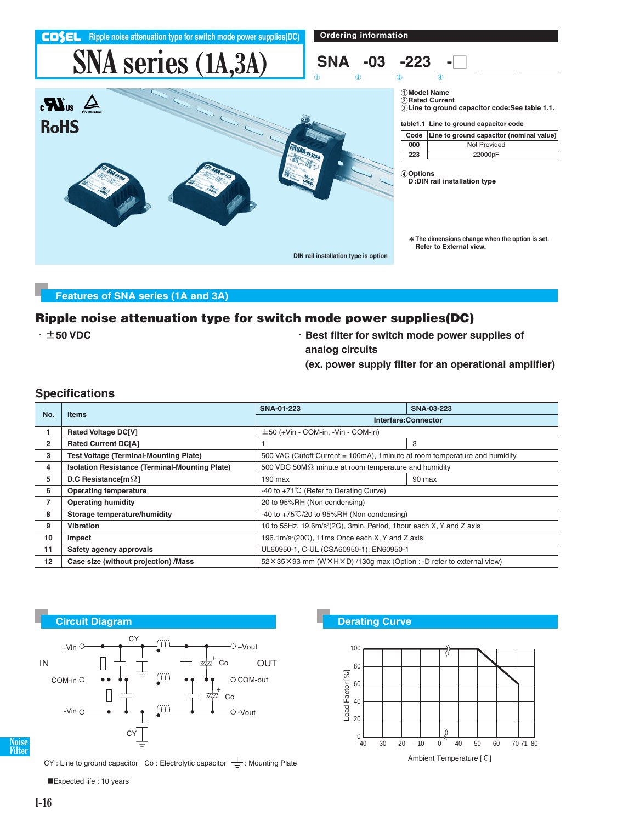**Ripple noise attenuation type for switch mode power supplies(DC)** 

**Ordering information**

# **SNA series (1A,3A)**





1**Model Name** 2**Rated Current** 3**Line to ground capacitor code:See table 1.1.**

**table1.1 Line to ground capacitor code**

|     | Code Line to ground capacitor (nominal value) |
|-----|-----------------------------------------------|
| 000 | Not Provided                                  |
| 223 | 22000pF                                       |

4**Options D:DIN rail installation type**

\***The dimensions change when the option is set. Refer to External view.**

### **Features of SNA series (1A and 3A)**

#### **Ripple noise attenuation type for switch mode power supplies(DC)**

- -t**50 VDC** -**Best filter for switch mode power supplies of**
	- **analog circuits**

20  $\Omega$ 

Load Factor [%]

Load Factor [%]

**(ex. power supply filter for an operational amplifier)**

 $-40$   $-30$   $-20$   $-10$   $0$   $40$  50 60 70 71 80

₹

Ambient Temperature [°C]

#### **Specifications**

| No.            |                                                                                                     | SNA-01-223                                                                  | <b>SNA-03-223</b> |
|----------------|-----------------------------------------------------------------------------------------------------|-----------------------------------------------------------------------------|-------------------|
|                | <b>Items</b>                                                                                        | Interfare:Connector                                                         |                   |
|                | <b>Rated Voltage DC[V]</b>                                                                          | $\pm$ 50 (+Vin - COM-in, -Vin - COM-in)                                     |                   |
| $\overline{2}$ | <b>Rated Current DC[A]</b>                                                                          |                                                                             | 3                 |
| 3              | <b>Test Voltage (Terminal-Mounting Plate)</b>                                                       | 500 VAC (Cutoff Current = 100mA), 1minute at room temperature and humidity  |                   |
| 4              | <b>Isolation Resistance (Terminal-Mounting Plate)</b>                                               | 500 VDC 50M $\Omega$ minute at room temperature and humidity                |                   |
| 5              | D.C Resistance [m $\Omega$ ]                                                                        | 190 max                                                                     | 90 max            |
| 6              | <b>Operating temperature</b>                                                                        | -40 to +71°C (Refer to Derating Curve)                                      |                   |
| $\overline{7}$ | <b>Operating humidity</b>                                                                           | 20 to 95%RH (Non condensing)                                                |                   |
| 8              | Storage temperature/humidity                                                                        | -40 to $+75^{\circ}$ C/20 to 95%RH (Non condensing)                         |                   |
| 9              | 10 to 55Hz, 19.6m/s <sup>2</sup> (2G), 3min. Period, 1hour each X, Y and Z axis<br><b>Vibration</b> |                                                                             |                   |
| 10             | Impact                                                                                              | 196.1m/s <sup>2</sup> (20G), 11ms Once each X, Y and Z axis                 |                   |
| 11             | Safety agency approvals                                                                             | UL60950-1, C-UL (CSA60950-1), EN60950-1                                     |                   |
| $12 \,$        | Case size (without projection) /Mass                                                                | 52 × 35 × 93 mm (W × H × D) / 130g max (Option : -D refer to external view) |                   |



**Noise Filter**

CY : Line to ground capacitor Co : Electrolytic capacitor  $\frac{\perp}{\equiv}$  : Mounting Plate

Expected life : 10 years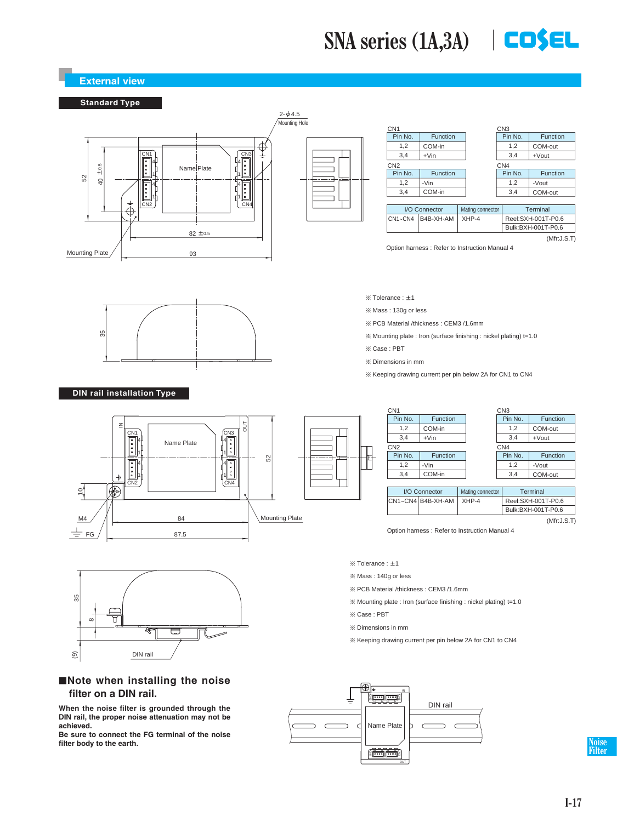## **SNA series (1A,3A) COSEL**



OUT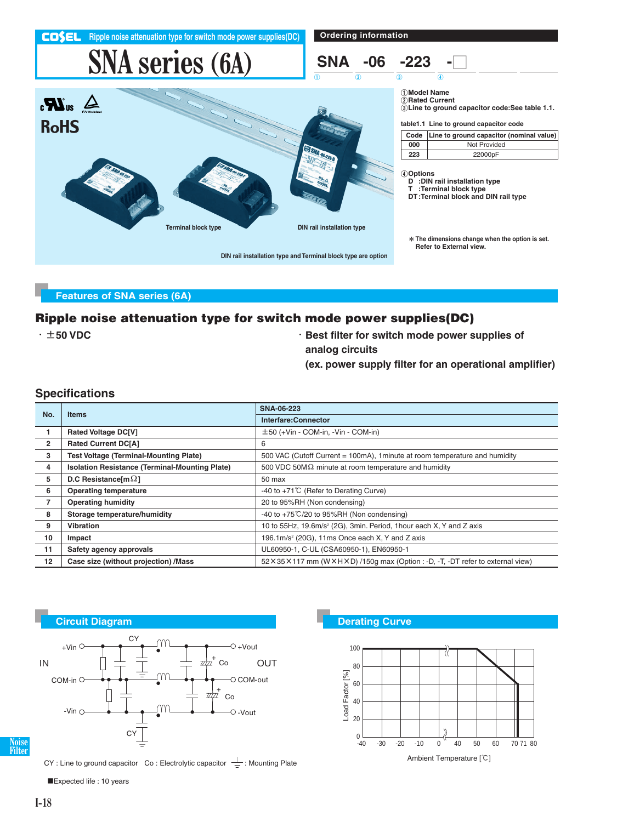

#### **Features of SNA series (6A)**

#### **Ripple noise attenuation type for switch mode power supplies(DC)**

- -t**50 VDC** -**Best filter for switch mode power supplies of**
	- **analog circuits**
	- **(ex. power supply filter for an operational amplifier)**

#### **Specifications**

| No.            |                                                       | SNA-06-223                                                                           |  |
|----------------|-------------------------------------------------------|--------------------------------------------------------------------------------------|--|
|                | <b>Items</b>                                          | Interfare: Connector                                                                 |  |
|                | <b>Rated Voltage DC[V]</b>                            | $\pm$ 50 (+Vin - COM-in, -Vin - COM-in)                                              |  |
| $\overline{2}$ | <b>Rated Current DC[A]</b>                            | 6                                                                                    |  |
| 3              | <b>Test Voltage (Terminal-Mounting Plate)</b>         | 500 VAC (Cutoff Current = 100mA), 1minute at room temperature and humidity           |  |
| 4              | <b>Isolation Resistance (Terminal-Mounting Plate)</b> | 500 VDC 50M $\Omega$ minute at room temperature and humidity                         |  |
| 5              | D.C Resistance [m $\Omega$ ]                          | 50 max                                                                               |  |
| 6              | <b>Operating temperature</b>                          | -40 to +71°C (Refer to Derating Curve)                                               |  |
| $\overline{7}$ | <b>Operating humidity</b>                             | 20 to 95%RH (Non condensing)                                                         |  |
| 8              | Storage temperature/humidity                          | -40 to $+75^{\circ}$ C/20 to 95%RH (Non condensing)                                  |  |
| 9              | Vibration                                             | 10 to 55Hz, 19.6m/s <sup>2</sup> (2G), 3min. Period, 1hour each X, Y and Z axis      |  |
| 10             | Impact                                                | 196.1m/s <sup>2</sup> (20G), 11ms Once each X, Y and Z axis                          |  |
| 11             | Safety agency approvals                               | UL60950-1, C-UL (CSA60950-1), EN60950-1                                              |  |
| 12             | Case size (without projection) /Mass                  | 52 × 35 × 117 mm (W × H × D) /150g max (Option : -D, -T, -DT refer to external view) |  |



**Noise Filter**

CY : Line to ground capacitor Co : Electrolytic capacitor  $\frac{\perp}{\equiv}$  : Mounting Plate

Expected life : 10 years



Ambient Temperature [C]